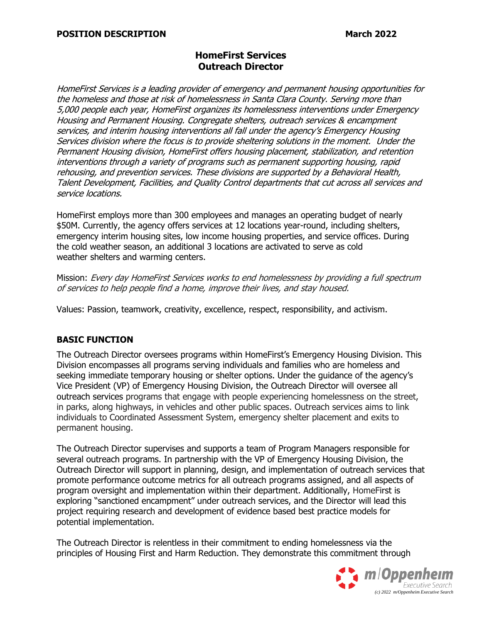## **HomeFirst Services Outreach Director**

HomeFirst Services is a leading provider of emergency and permanent housing opportunities for the homeless and those at risk of homelessness in Santa Clara County. Serving more than 5,000 people each year, HomeFirst organizes its homelessness interventions under Emergency Housing and Permanent Housing. Congregate shelters, outreach services & encampment services, and interim housing interventions all fall under the agency's Emergency Housing Services division where the focus is to provide sheltering solutions in the moment. Under the Permanent Housing division, HomeFirst offers housing placement, stabilization, and retention interventions through a variety of programs such as permanent supporting housing, rapid rehousing, and prevention services. These divisions are supported by a Behavioral Health, Talent Development, Facilities, and Quality Control departments that cut across all services and service locations.

HomeFirst employs more than 300 employees and manages an operating budget of nearly \$50M. Currently, the agency offers services at 12 locations year-round, including shelters, emergency interim housing sites, low income housing properties, and service offices. During the cold weather season, an additional 3 locations are activated to serve as cold weather shelters and warming centers.

Mission: Every day HomeFirst Services works to end homelessness by providing a full spectrum of services to help people find a home, improve their lives, and stay housed.

Values: Passion, teamwork, creativity, excellence, respect, responsibility, and activism.

#### **BASIC FUNCTION**

The Outreach Director oversees programs within HomeFirst's Emergency Housing Division. This Division encompasses all programs serving individuals and families who are homeless and seeking immediate temporary housing or shelter options. Under the guidance of the agency's Vice President (VP) of Emergency Housing Division, the Outreach Director will oversee all outreach services programs that engage with people experiencing homelessness on the street, in parks, along highways, in vehicles and other public spaces. Outreach services aims to link individuals to Coordinated Assessment System, emergency shelter placement and exits to permanent housing.

The Outreach Director supervises and supports a team of Program Managers responsible for several outreach programs. In partnership with the VP of Emergency Housing Division, the Outreach Director will support in planning, design, and implementation of outreach services that promote performance outcome metrics for all outreach programs assigned, and all aspects of program oversight and implementation within their department. Additionally, HomeFirst is exploring "sanctioned encampment" under outreach services, and the Director will lead this project requiring research and development of evidence based best practice models for potential implementation.

The Outreach Director is relentless in their commitment to ending homelessness via the principles of Housing First and Harm Reduction. They demonstrate this commitment through

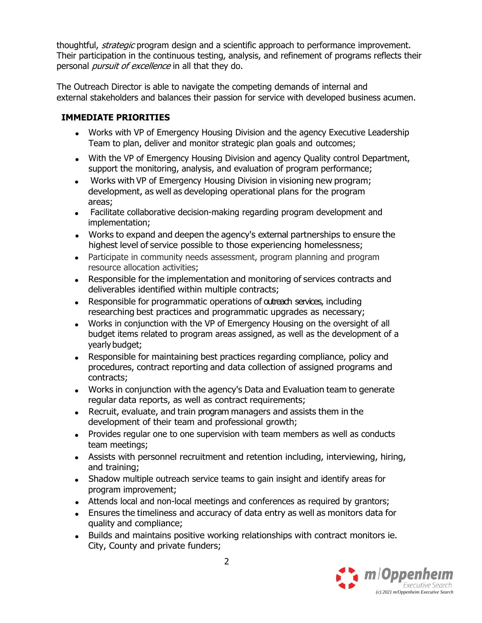thoughtful, *strategic* program design and a scientific approach to performance improvement. Their participation in the continuous testing, analysis, and refinement of programs reflects their personal *pursuit of excellence* in all that they do.

The Outreach Director is able to navigate the competing demands of internal and external stakeholders and balances their passion for service with developed business acumen.

### **IMMEDIATE PRIORITIES**

- Works with VP of Emergency Housing Division and the agency Executive Leadership Team to plan, deliver and monitor strategic plan goals and outcomes;
- With the VP of Emergency Housing Division and agency Quality control Department, support the monitoring, analysis, and evaluation of program performance;
- Works with VP of Emergency Housing Division in visioning new program; development, as well as developing operational plans for the program areas;
- Facilitate collaborative decision-making regarding program development and implementation;
- Works to expand and deepen the agency's external partnerships to ensure the highest level of service possible to those experiencing homelessness;
- Participate in community needs assessment, program planning and program resource allocation activities;
- Responsible for the implementation and monitoring of services contracts and deliverables identified within multiple contracts;
- Responsible for programmatic operations of outreach services, including researching best practices and programmatic upgrades as necessary;
- Works in conjunction with the VP of Emergency Housing on the oversight of all budget items related to program areas assigned, as well as the development of a yearly budget;
- Responsible for maintaining best practices regarding compliance, policy and procedures, contract reporting and data collection of assigned programs and contracts;
- Works in conjunction with the agency's Data and Evaluation team to generate regular data reports, as well as contract requirements;
- Recruit, evaluate, and train program managers and assists them in the development of their team and professional growth;
- Provides regular one to one supervision with team members as well as conducts team meetings;
- Assists with personnel recruitment and retention including, interviewing, hiring, and training;
- Shadow multiple outreach service teams to gain insight and identify areas for program improvement;
- Attends local and non-local meetings and conferences as required by grantors;
- Ensures the timeliness and accuracy of data entry as well as monitors data for quality and compliance;
- Builds and maintains positive working relationships with contract monitors ie. City, County and private funders;

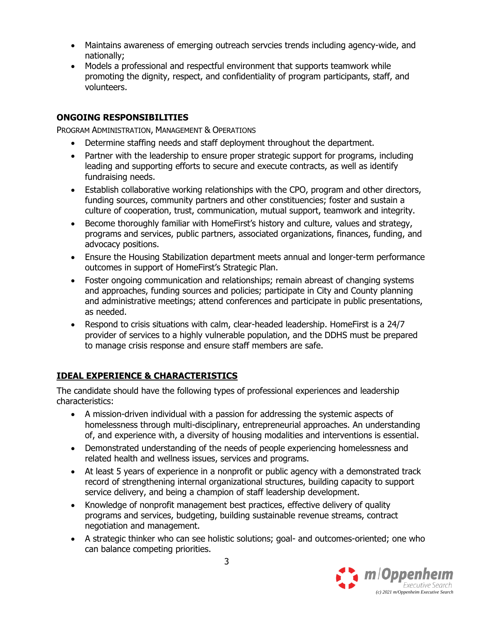- Maintains awareness of emerging outreach servcies trends including agency-wide, and nationally;
- Models a professional and respectful environment that supports teamwork while promoting the dignity, respect, and confidentiality of program participants, staff, and volunteers.

## **ONGOING RESPONSIBILITIES**

PROGRAM ADMINISTRATION, MANAGEMENT & OPERATIONS

- Determine staffing needs and staff deployment throughout the department.
- Partner with the leadership to ensure proper strategic support for programs, including leading and supporting efforts to secure and execute contracts, as well as identify fundraising needs.
- Establish collaborative working relationships with the CPO, program and other directors, funding sources, community partners and other constituencies; foster and sustain a culture of cooperation, trust, communication, mutual support, teamwork and integrity.
- Become thoroughly familiar with HomeFirst's history and culture, values and strategy, programs and services, public partners, associated organizations, finances, funding, and advocacy positions.
- Ensure the Housing Stabilization department meets annual and longer-term performance outcomes in support of HomeFirst's Strategic Plan.
- Foster ongoing communication and relationships; remain abreast of changing systems and approaches, funding sources and policies; participate in City and County planning and administrative meetings; attend conferences and participate in public presentations, as needed.
- Respond to crisis situations with calm, clear-headed leadership. HomeFirst is a 24/7 provider of services to a highly vulnerable population, and the DDHS must be prepared to manage crisis response and ensure staff members are safe.

# **IDEAL EXPERIENCE & CHARACTERISTICS**

The candidate should have the following types of professional experiences and leadership characteristics:

- A mission-driven individual with a passion for addressing the systemic aspects of homelessness through multi-disciplinary, entrepreneurial approaches. An understanding of, and experience with, a diversity of housing modalities and interventions is essential.
- Demonstrated understanding of the needs of people experiencing homelessness and related health and wellness issues, services and programs.
- At least 5 years of experience in a nonprofit or public agency with a demonstrated track record of strengthening internal organizational structures, building capacity to support service delivery, and being a champion of staff leadership development.
- Knowledge of nonprofit management best practices, effective delivery of quality programs and services, budgeting, building sustainable revenue streams, contract negotiation and management.
- A strategic thinker who can see holistic solutions; goal- and outcomes-oriented; one who can balance competing priorities.